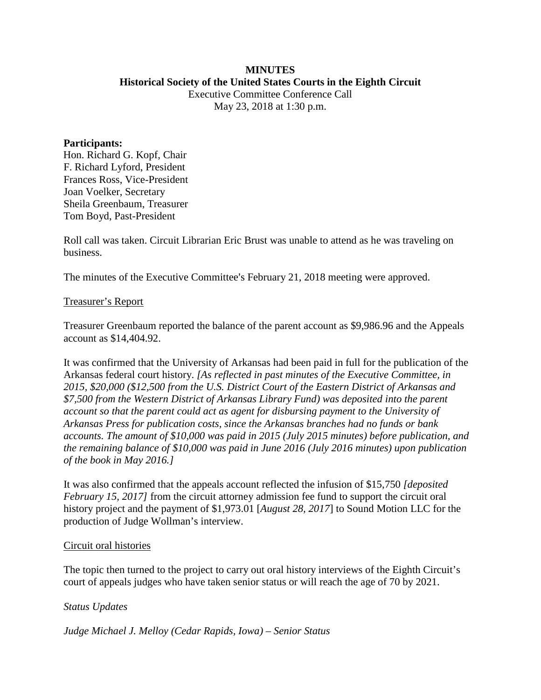# **MINUTES Historical Society of the United States Courts in the Eighth Circuit**

Executive Committee Conference Call May 23, 2018 at 1:30 p.m.

#### **Participants:**

Hon. Richard G. Kopf, Chair F. Richard Lyford, President Frances Ross, Vice-President Joan Voelker, Secretary Sheila Greenbaum, Treasurer Tom Boyd, Past-President

Roll call was taken. Circuit Librarian Eric Brust was unable to attend as he was traveling on business.

The minutes of the Executive Committee's February 21, 2018 meeting were approved.

#### Treasurer's Report

Treasurer Greenbaum reported the balance of the parent account as \$9,986.96 and the Appeals account as \$14,404.92.

It was confirmed that the University of Arkansas had been paid in full for the publication of the Arkansas federal court history. *[As reflected in past minutes of the Executive Committee, in 2015, \$20,000 (\$12,500 from the U.S. District Court of the Eastern District of Arkansas and \$7,500 from the Western District of Arkansas Library Fund) was deposited into the parent account so that the parent could act as agent for disbursing payment to the University of Arkansas Press for publication costs, since the Arkansas branches had no funds or bank accounts. The amount of \$10,000 was paid in 2015 (July 2015 minutes) before publication, and the remaining balance of \$10,000 was paid in June 2016 (July 2016 minutes) upon publication of the book in May 2016.]*

It was also confirmed that the appeals account reflected the infusion of \$15,750 *[deposited February 15, 2017]* from the circuit attorney admission fee fund to support the circuit oral history project and the payment of \$1,973.01 [*August 28, 2017*] to Sound Motion LLC for the production of Judge Wollman's interview.

#### Circuit oral histories

The topic then turned to the project to carry out oral history interviews of the Eighth Circuit's court of appeals judges who have taken senior status or will reach the age of 70 by 2021.

# *Status Updates*

#### *Judge Michael J. Melloy (Cedar Rapids, Iowa) – Senior Status*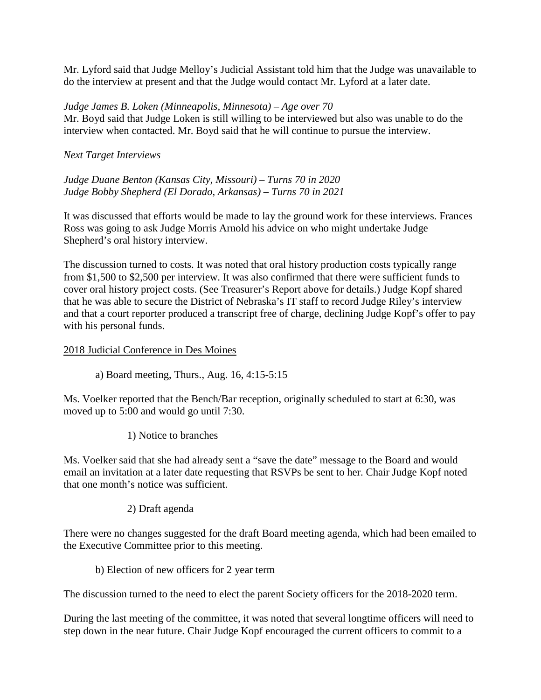Mr. Lyford said that Judge Melloy's Judicial Assistant told him that the Judge was unavailable to do the interview at present and that the Judge would contact Mr. Lyford at a later date.

#### *Judge James B. Loken (Minneapolis, Minnesota) – Age over 70*

Mr. Boyd said that Judge Loken is still willing to be interviewed but also was unable to do the interview when contacted. Mr. Boyd said that he will continue to pursue the interview.

## *Next Target Interviews*

*Judge Duane Benton (Kansas City, Missouri) – Turns 70 in 2020 Judge Bobby Shepherd (El Dorado, Arkansas) – Turns 70 in 2021*

It was discussed that efforts would be made to lay the ground work for these interviews. Frances Ross was going to ask Judge Morris Arnold his advice on who might undertake Judge Shepherd's oral history interview.

The discussion turned to costs. It was noted that oral history production costs typically range from \$1,500 to \$2,500 per interview. It was also confirmed that there were sufficient funds to cover oral history project costs. (See Treasurer's Report above for details.) Judge Kopf shared that he was able to secure the District of Nebraska's IT staff to record Judge Riley's interview and that a court reporter produced a transcript free of charge, declining Judge Kopf's offer to pay with his personal funds.

#### 2018 Judicial Conference in Des Moines

a) Board meeting, Thurs., Aug. 16, 4:15-5:15

Ms. Voelker reported that the Bench/Bar reception, originally scheduled to start at 6:30, was moved up to 5:00 and would go until 7:30.

1) Notice to branches

Ms. Voelker said that she had already sent a "save the date" message to the Board and would email an invitation at a later date requesting that RSVPs be sent to her. Chair Judge Kopf noted that one month's notice was sufficient.

# 2) Draft agenda

There were no changes suggested for the draft Board meeting agenda, which had been emailed to the Executive Committee prior to this meeting.

#### b) Election of new officers for 2 year term

The discussion turned to the need to elect the parent Society officers for the 2018-2020 term.

During the last meeting of the committee, it was noted that several longtime officers will need to step down in the near future. Chair Judge Kopf encouraged the current officers to commit to a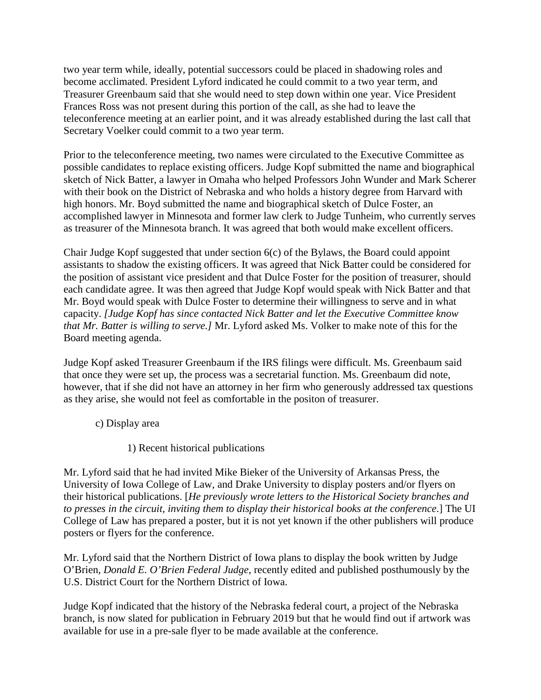two year term while, ideally, potential successors could be placed in shadowing roles and become acclimated. President Lyford indicated he could commit to a two year term, and Treasurer Greenbaum said that she would need to step down within one year. Vice President Frances Ross was not present during this portion of the call, as she had to leave the teleconference meeting at an earlier point, and it was already established during the last call that Secretary Voelker could commit to a two year term.

Prior to the teleconference meeting, two names were circulated to the Executive Committee as possible candidates to replace existing officers. Judge Kopf submitted the name and biographical sketch of Nick Batter, a lawyer in Omaha who helped Professors John Wunder and Mark Scherer with their book on the District of Nebraska and who holds a history degree from Harvard with high honors. Mr. Boyd submitted the name and biographical sketch of Dulce Foster, an accomplished lawyer in Minnesota and former law clerk to Judge Tunheim, who currently serves as treasurer of the Minnesota branch. It was agreed that both would make excellent officers.

Chair Judge Kopf suggested that under section 6(c) of the Bylaws, the Board could appoint assistants to shadow the existing officers. It was agreed that Nick Batter could be considered for the position of assistant vice president and that Dulce Foster for the position of treasurer, should each candidate agree. It was then agreed that Judge Kopf would speak with Nick Batter and that Mr. Boyd would speak with Dulce Foster to determine their willingness to serve and in what capacity. *[Judge Kopf has since contacted Nick Batter and let the Executive Committee know that Mr. Batter is willing to serve.]* Mr. Lyford asked Ms. Volker to make note of this for the Board meeting agenda.

Judge Kopf asked Treasurer Greenbaum if the IRS filings were difficult. Ms. Greenbaum said that once they were set up, the process was a secretarial function. Ms. Greenbaum did note, however, that if she did not have an attorney in her firm who generously addressed tax questions as they arise, she would not feel as comfortable in the positon of treasurer.

- c) Display area
	- 1) Recent historical publications

Mr. Lyford said that he had invited Mike Bieker of the University of Arkansas Press, the University of Iowa College of Law, and Drake University to display posters and/or flyers on their historical publications. [*He previously wrote letters to the Historical Society branches and to presses in the circuit, inviting them to display their historical books at the conference*.] The UI College of Law has prepared a poster, but it is not yet known if the other publishers will produce posters or flyers for the conference.

Mr. Lyford said that the Northern District of Iowa plans to display the book written by Judge O'Brien, *Donald E. O'Brien Federal Judge*, recently edited and published posthumously by the U.S. District Court for the Northern District of Iowa.

Judge Kopf indicated that the history of the Nebraska federal court, a project of the Nebraska branch, is now slated for publication in February 2019 but that he would find out if artwork was available for use in a pre-sale flyer to be made available at the conference.